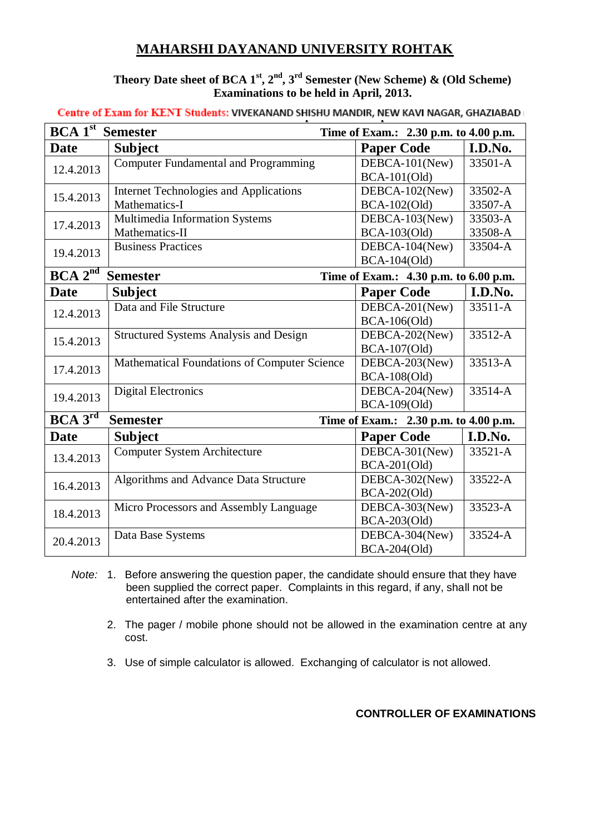## **MAHARSHI DAYANAND UNIVERSITY ROHTAK**

### **Theory Date sheet of BCA 1st, 2nd, 3rd Semester (New Scheme) & (Old Scheme) Examinations to be held in April, 2013.**

**Centre of Exam for KENT Students: VIVEKANAND SHISHU MANDIR, NEW KAVI NAGAR, GHAZIABAD** 

| BCA1 <sup>st</sup>                                                                    | <b>Semester</b>                               | Time of Exam.: 2.30 p.m. to 4.00 p.m. |         |  |
|---------------------------------------------------------------------------------------|-----------------------------------------------|---------------------------------------|---------|--|
| <b>Date</b>                                                                           | <b>Subject</b>                                | <b>Paper Code</b>                     | I.D.No. |  |
| 12.4.2013                                                                             | <b>Computer Fundamental and Programming</b>   | DEBCA-101(New)                        | 33501-A |  |
|                                                                                       |                                               | $BCA-101(Old)$                        |         |  |
| 15.4.2013                                                                             | <b>Internet Technologies and Applications</b> | DEBCA-102(New)                        | 33502-A |  |
|                                                                                       | Mathematics-I                                 | <b>BCA-102(Old)</b>                   | 33507-A |  |
| 17.4.2013                                                                             | Multimedia Information Systems                | DEBCA-103(New)                        | 33503-A |  |
|                                                                                       | Mathematics-II                                | <b>BCA-103(Old)</b>                   | 33508-A |  |
| 19.4.2013                                                                             | <b>Business Practices</b>                     | DEBCA-104(New)                        | 33504-A |  |
|                                                                                       |                                               | <b>BCA-104(Old)</b>                   |         |  |
| $BCA$ $2^{\overline{nd}}$<br><b>Semester</b><br>Time of Exam.: 4.30 p.m. to 6.00 p.m. |                                               |                                       |         |  |
| <b>Date</b>                                                                           | <b>Subject</b>                                | <b>Paper Code</b>                     | I.D.No. |  |
|                                                                                       | Data and File Structure                       | DEBCA-201(New)                        | 33511-A |  |
| 12.4.2013                                                                             |                                               | <b>BCA-106(Old)</b>                   |         |  |
| 15.4.2013                                                                             | <b>Structured Systems Analysis and Design</b> | DEBCA-202(New)                        | 33512-A |  |
|                                                                                       |                                               | <b>BCA-107(Old)</b>                   |         |  |
| 17.4.2013                                                                             | Mathematical Foundations of Computer Science  | DEBCA-203(New)                        | 33513-A |  |
|                                                                                       |                                               | <b>BCA-108(Old)</b>                   |         |  |
| 19.4.2013                                                                             | <b>Digital Electronics</b>                    | DEBCA-204(New)                        | 33514-A |  |
|                                                                                       |                                               | <b>BCA-109(Old)</b>                   |         |  |
| BCA 3 <sup>rd</sup><br><b>Semester</b><br>Time of Exam.: 2.30 p.m. to 4.00 p.m.       |                                               |                                       |         |  |
| <b>Date</b>                                                                           | <b>Subject</b>                                | <b>Paper Code</b>                     | I.D.No. |  |
| 13.4.2013                                                                             | <b>Computer System Architecture</b>           | DEBCA-301(New)                        | 33521-A |  |
|                                                                                       |                                               | $BCA-201(Old)$                        |         |  |
| 16.4.2013                                                                             | Algorithms and Advance Data Structure         | DEBCA-302(New)                        | 33522-A |  |
|                                                                                       |                                               | BCA-202(Old)                          |         |  |
| 18.4.2013                                                                             | Micro Processors and Assembly Language        | DEBCA-303(New)                        | 33523-A |  |
|                                                                                       |                                               | BCA-203(Old)                          |         |  |
|                                                                                       | Data Base Systems                             | DEBCA-304(New)                        | 33524-A |  |
| 20.4.2013                                                                             |                                               | <b>BCA-204(Old)</b>                   |         |  |

- *Note:* 1. Before answering the question paper, the candidate should ensure that they have been supplied the correct paper. Complaints in this regard, if any, shall not be entertained after the examination.
	- 2. The pager / mobile phone should not be allowed in the examination centre at any cost.
	- 3. Use of simple calculator is allowed. Exchanging of calculator is not allowed.

#### **CONTROLLER OF EXAMINATIONS**